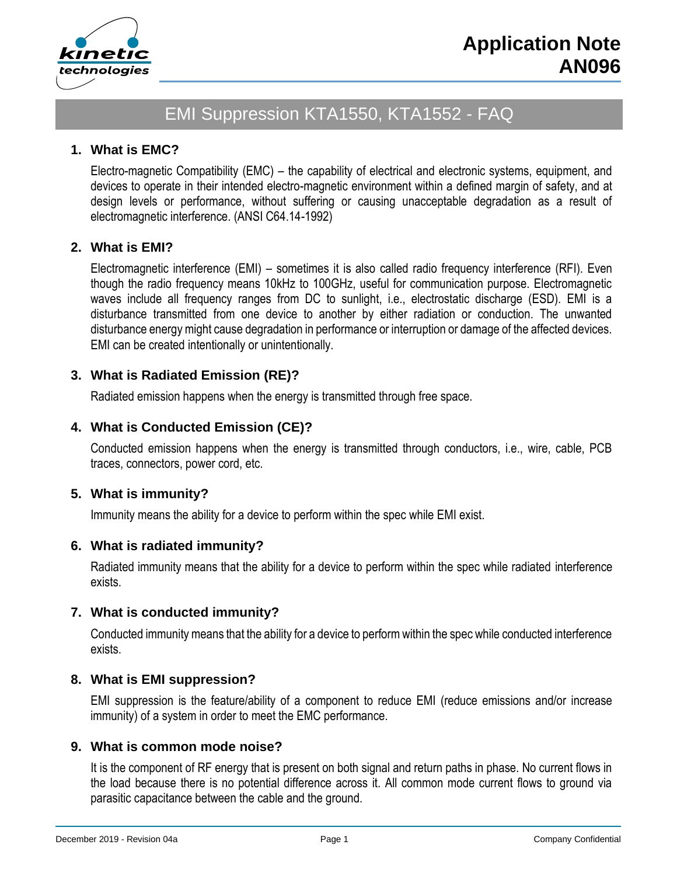

# EMI Suppression KTA1550, KTA1552 - FAQ

## **1. What is EMC?**

Electro-magnetic Compatibility (EMC) – the capability of electrical and electronic systems, equipment, and devices to operate in their intended electro-magnetic environment within a defined margin of safety, and at design levels or performance, without suffering or causing unacceptable degradation as a result of electromagnetic interference. (ANSI C64.14-1992)

## **2. What is EMI?**

Electromagnetic interference (EMI) – sometimes it is also called radio frequency interference (RFI). Even though the radio frequency means 10kHz to 100GHz, useful for communication purpose. Electromagnetic waves include all frequency ranges from DC to sunlight, i.e., electrostatic discharge (ESD). EMI is a disturbance transmitted from one device to another by either radiation or conduction. The unwanted disturbance energy might cause degradation in performance or interruption or damage of the affected devices. EMI can be created intentionally or unintentionally.

## **3. What is Radiated Emission (RE)?**

Radiated emission happens when the energy is transmitted through free space.

## **4. What is Conducted Emission (CE)?**

Conducted emission happens when the energy is transmitted through conductors, i.e., wire, cable, PCB traces, connectors, power cord, etc.

#### **5. What is immunity?**

Immunity means the ability for a device to perform within the spec while EMI exist.

#### **6. What is radiated immunity?**

Radiated immunity means that the ability for a device to perform within the spec while radiated interference exists.

#### **7. What is conducted immunity?**

Conducted immunity means that the ability for a device to perform within the spec while conducted interference exists.

#### **8. What is EMI suppression?**

EMI suppression is the feature/ability of a component to reduce EMI (reduce emissions and/or increase immunity) of a system in order to meet the EMC performance.

## **9. What is common mode noise?**

It is the component of RF energy that is present on both signal and return paths in phase. No current flows in the load because there is no potential difference across it. All common mode current flows to ground via parasitic capacitance between the cable and the ground.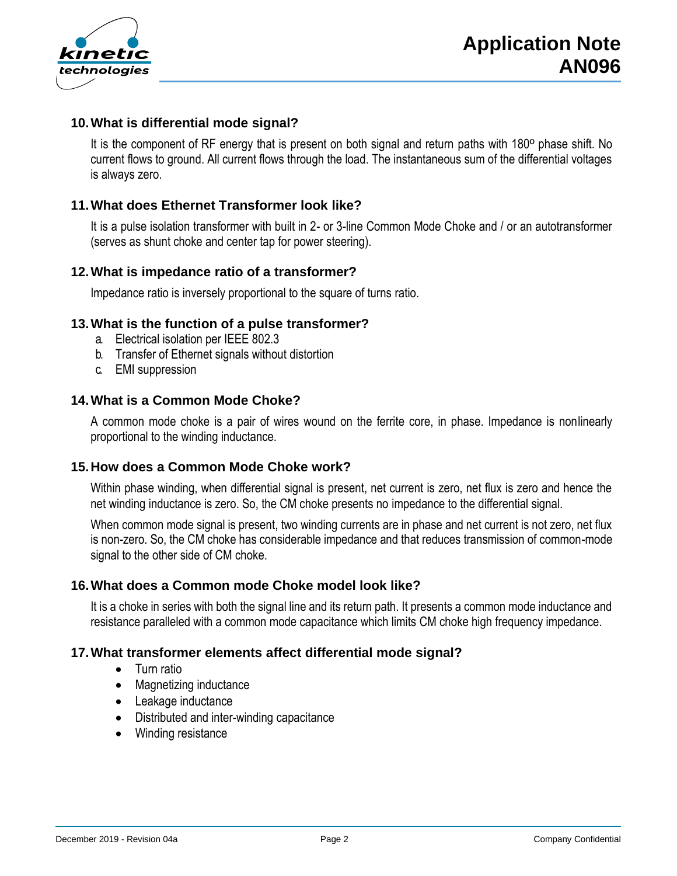

## **10.What is differential mode signal?**

It is the component of RF energy that is present on both signal and return paths with 180º phase shift. No current flows to ground. All current flows through the load. The instantaneous sum of the differential voltages is always zero.

# **11.What does Ethernet Transformer look like?**

It is a pulse isolation transformer with built in 2- or 3-line Common Mode Choke and / or an autotransformer (serves as shunt choke and center tap for power steering).

## **12.What is impedance ratio of a transformer?**

Impedance ratio is inversely proportional to the square of turns ratio.

## **13.What is the function of a pulse transformer?**

- a. Electrical isolation per IEEE 802.3
- b. Transfer of Ethernet signals without distortion
- c. EMI suppression

## **14.What is a Common Mode Choke?**

A common mode choke is a pair of wires wound on the ferrite core, in phase. Impedance is nonlinearly proportional to the winding inductance.

#### **15.How does a Common Mode Choke work?**

Within phase winding, when differential signal is present, net current is zero, net flux is zero and hence the net winding inductance is zero. So, the CM choke presents no impedance to the differential signal.

When common mode signal is present, two winding currents are in phase and net current is not zero, net flux is non-zero. So, the CM choke has considerable impedance and that reduces transmission of common-mode signal to the other side of CM choke.

#### **16.What does a Common mode Choke model look like?**

It is a choke in series with both the signal line and its return path. It presents a common mode inductance and resistance paralleled with a common mode capacitance which limits CM choke high frequency impedance.

#### **17.What transformer elements affect differential mode signal?**

- Turn ratio
- Magnetizing inductance
- Leakage inductance
- Distributed and inter-winding capacitance
- Winding resistance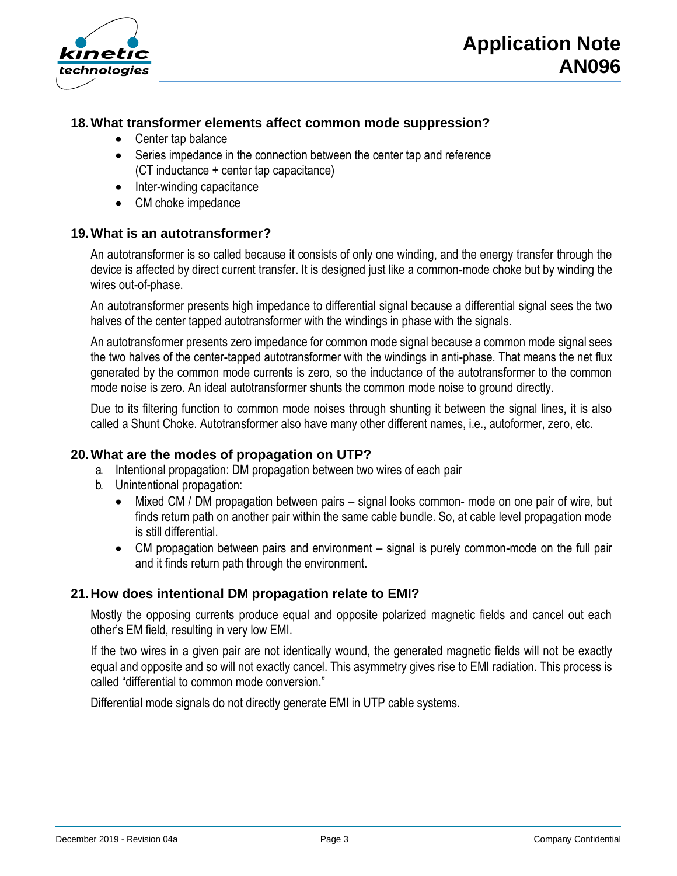

# **18.What transformer elements affect common mode suppression?**

- Center tap balance
- Series impedance in the connection between the center tap and reference (CT inductance + center tap capacitance)
- Inter-winding capacitance
- CM choke impedance

# **19.What is an autotransformer?**

An autotransformer is so called because it consists of only one winding, and the energy transfer through the device is affected by direct current transfer. It is designed just like a common-mode choke but by winding the wires out-of-phase.

An autotransformer presents high impedance to differential signal because a differential signal sees the two halves of the center tapped autotransformer with the windings in phase with the signals.

An autotransformer presents zero impedance for common mode signal because a common mode signal sees the two halves of the center-tapped autotransformer with the windings in anti-phase. That means the net flux generated by the common mode currents is zero, so the inductance of the autotransformer to the common mode noise is zero. An ideal autotransformer shunts the common mode noise to ground directly.

Due to its filtering function to common mode noises through shunting it between the signal lines, it is also called a Shunt Choke. Autotransformer also have many other different names, i.e., autoformer, zero, etc.

## **20.What are the modes of propagation on UTP?**

- a. Intentional propagation: DM propagation between two wires of each pair
- b. Unintentional propagation:
	- Mixed CM / DM propagation between pairs signal looks common- mode on one pair of wire, but finds return path on another pair within the same cable bundle. So, at cable level propagation mode is still differential.
	- CM propagation between pairs and environment signal is purely common-mode on the full pair and it finds return path through the environment.

## **21.How does intentional DM propagation relate to EMI?**

Mostly the opposing currents produce equal and opposite polarized magnetic fields and cancel out each other's EM field, resulting in very low EMI.

If the two wires in a given pair are not identically wound, the generated magnetic fields will not be exactly equal and opposite and so will not exactly cancel. This asymmetry gives rise to EMI radiation. This process is called "differential to common mode conversion."

Differential mode signals do not directly generate EMI in UTP cable systems.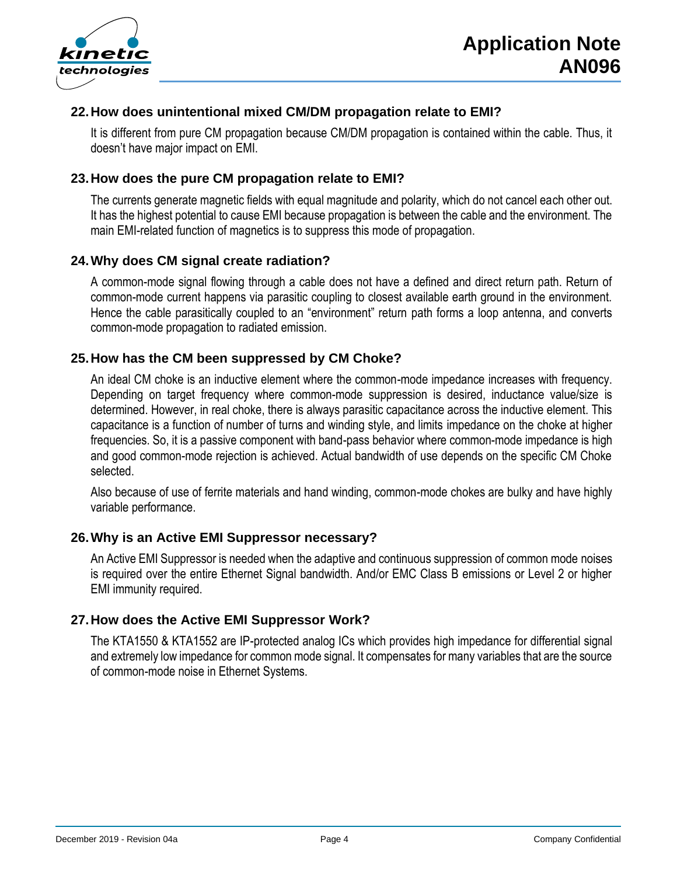

# **22.How does unintentional mixed CM/DM propagation relate to EMI?**

It is different from pure CM propagation because CM/DM propagation is contained within the cable. Thus, it doesn't have major impact on EMI.

## **23.How does the pure CM propagation relate to EMI?**

The currents generate magnetic fields with equal magnitude and polarity, which do not cancel each other out. It has the highest potential to cause EMI because propagation is between the cable and the environment. The main EMI-related function of magnetics is to suppress this mode of propagation.

## **24.Why does CM signal create radiation?**

A common-mode signal flowing through a cable does not have a defined and direct return path. Return of common-mode current happens via parasitic coupling to closest available earth ground in the environment. Hence the cable parasitically coupled to an "environment" return path forms a loop antenna, and converts common-mode propagation to radiated emission.

## **25.How has the CM been suppressed by CM Choke?**

An ideal CM choke is an inductive element where the common-mode impedance increases with frequency. Depending on target frequency where common-mode suppression is desired, inductance value/size is determined. However, in real choke, there is always parasitic capacitance across the inductive element. This capacitance is a function of number of turns and winding style, and limits impedance on the choke at higher frequencies. So, it is a passive component with band-pass behavior where common-mode impedance is high and good common-mode rejection is achieved. Actual bandwidth of use depends on the specific CM Choke selected.

Also because of use of ferrite materials and hand winding, common-mode chokes are bulky and have highly variable performance.

#### **26.Why is an Active EMI Suppressor necessary?**

An Active EMI Suppressor is needed when the adaptive and continuous suppression of common mode noises is required over the entire Ethernet Signal bandwidth. And/or EMC Class B emissions or Level 2 or higher EMI immunity required.

## **27.How does the Active EMI Suppressor Work?**

The KTA1550 & KTA1552 are IP-protected analog ICs which provides high impedance for differential signal and extremely low impedance for common mode signal. It compensates for many variables that are the source of common-mode noise in Ethernet Systems.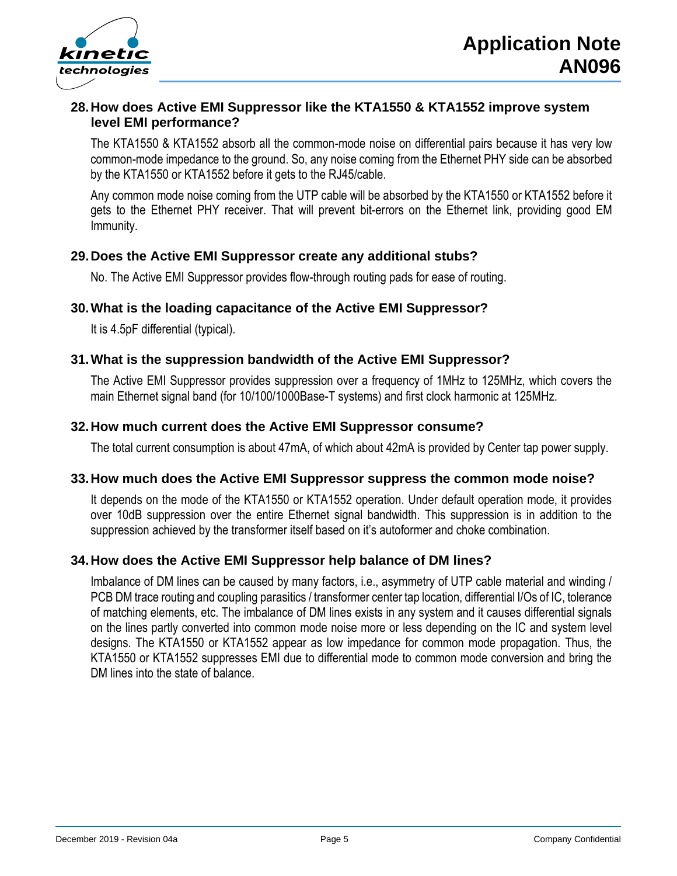



## **28.How does Active EMI Suppressor like the KTA1550 & KTA1552 improve system level EMI performance?**

The KTA1550 & KTA1552 absorb all the common-mode noise on differential pairs because it has very low common-mode impedance to the ground. So, any noise coming from the Ethernet PHY side can be absorbed by the KTA1550 or KTA1552 before it gets to the RJ45/cable.

Any common mode noise coming from the UTP cable will be absorbed by the KTA1550 or KTA1552 before it gets to the Ethernet PHY receiver. That will prevent bit-errors on the Ethernet link, providing good EM Immunity.

## **29.Does the Active EMI Suppressor create any additional stubs?**

No. The Active EMI Suppressor provides flow-through routing pads for ease of routing.

#### **30.What is the loading capacitance of the Active EMI Suppressor?**

It is 4.5pF differential (typical).

## **31.What is the suppression bandwidth of the Active EMI Suppressor?**

The Active EMI Suppressor provides suppression over a frequency of 1MHz to 125MHz, which covers the main Ethernet signal band (for 10/100/1000Base-T systems) and first clock harmonic at 125MHz.

#### **32.How much current does the Active EMI Suppressor consume?**

The total current consumption is about 47mA, of which about 42mA is provided by Center tap power supply.

#### **33.How much does the Active EMI Suppressor suppress the common mode noise?**

It depends on the mode of the KTA1550 or KTA1552 operation. Under default operation mode, it provides over 10dB suppression over the entire Ethernet signal bandwidth. This suppression is in addition to the suppression achieved by the transformer itself based on it's autoformer and choke combination.

#### **34.How does the Active EMI Suppressor help balance of DM lines?**

Imbalance of DM lines can be caused by many factors, i.e., asymmetry of UTP cable material and winding / PCB DM trace routing and coupling parasitics / transformer center tap location, differential I/Os of IC, tolerance of matching elements, etc. The imbalance of DM lines exists in any system and it causes differential signals on the lines partly converted into common mode noise more or less depending on the IC and system level designs. The KTA1550 or KTA1552 appear as low impedance for common mode propagation. Thus, the KTA1550 or KTA1552 suppresses EMI due to differential mode to common mode conversion and bring the DM lines into the state of balance.